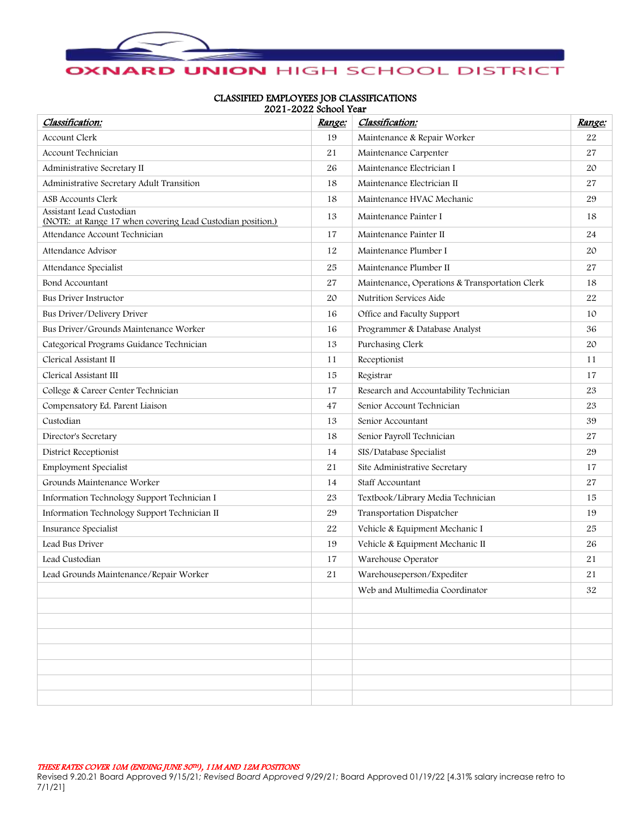

## CLASSIFIED EMPLOYEES JOB CLASSIFICATIONS 2021-2022 School Year

| Classification:                                                                        | <u> Range:</u> | Classification:                                | Range:      |
|----------------------------------------------------------------------------------------|----------------|------------------------------------------------|-------------|
| Account Clerk                                                                          | 19             | Maintenance & Repair Worker                    | 22          |
| Account Technician                                                                     | 21             | Maintenance Carpenter                          | 27          |
| Administrative Secretary II                                                            | 26             | Maintenance Electrician I                      | 20          |
| Administrative Secretary Adult Transition                                              | 18             | Maintenance Electrician II                     | 27          |
| ASB Accounts Clerk                                                                     | 18             | Maintenance HVAC Mechanic                      | 29          |
| Assistant Lead Custodian<br>(NOTE: at Range 17 when covering Lead Custodian position.) | 13             | Maintenance Painter I                          | 18          |
| Attendance Account Technician                                                          | 17             | Maintenance Painter II                         | 24          |
| Attendance Advisor                                                                     | 12             | Maintenance Plumber I                          | 20          |
| Attendance Specialist                                                                  | 25             | Maintenance Plumber II                         | 27          |
| Bond Accountant                                                                        | 27             | Maintenance, Operations & Transportation Clerk | 18          |
| Bus Driver Instructor                                                                  | 20             | Nutrition Services Aide                        | 22          |
| Bus Driver/Delivery Driver                                                             | 16             | Office and Faculty Support                     | 10          |
| Bus Driver/Grounds Maintenance Worker                                                  | 16             | Programmer & Database Analyst                  | 36          |
| Categorical Programs Guidance Technician                                               | 13             | Purchasing Clerk                               | $2\mbox{O}$ |
| Clerical Assistant II                                                                  | 11             | Receptionist                                   | 11          |
| Clerical Assistant III                                                                 | 15             | Registrar                                      | 17          |
| College & Career Center Technician                                                     | 17             | Research and Accountability Technician         | 23          |
| Compensatory Ed. Parent Liaison                                                        | 47             | Senior Account Technician                      | 23          |
| Custodian                                                                              | 13             | Senior Accountant                              | 39          |
| Director's Secretary                                                                   |                | Senior Payroll Technician                      | 27          |
| District Receptionist                                                                  | 14             | SIS/Database Specialist                        | 29          |
| <b>Employment Specialist</b>                                                           | 21             | Site Administrative Secretary                  | 17          |
| Grounds Maintenance Worker                                                             | 14             | Staff Accountant                               | 27          |
| Information Technology Support Technician I                                            | 23             | Textbook/Library Media Technician              | 15          |
| Information Technology Support Technician II                                           | 29             | Transportation Dispatcher                      | 19          |
| Insurance Specialist                                                                   | 22             | Vehicle & Equipment Mechanic I                 | 25          |
| Lead Bus Driver                                                                        | 19             | Vehicle & Equipment Mechanic II                | 26          |
| Lead Custodian                                                                         | 17             | Warehouse Operator                             | 21          |
| Lead Grounds Maintenance/Repair Worker                                                 | $2\sqrt{1}$    | Warehouseperson/Expediter                      | $2\sqrt{1}$ |
|                                                                                        |                | Web and Multimedia Coordinator                 | 32          |
|                                                                                        |                |                                                |             |
|                                                                                        |                |                                                |             |
|                                                                                        |                |                                                |             |
|                                                                                        |                |                                                |             |
|                                                                                        |                |                                                |             |
|                                                                                        |                |                                                |             |
|                                                                                        |                |                                                |             |

Revised 9.20.21 Board Approved 9/15/21*; Revised Board Approved 9/29/21;* Board Approved 01/19/22 [4.31% salary increase retro to 7/1/21]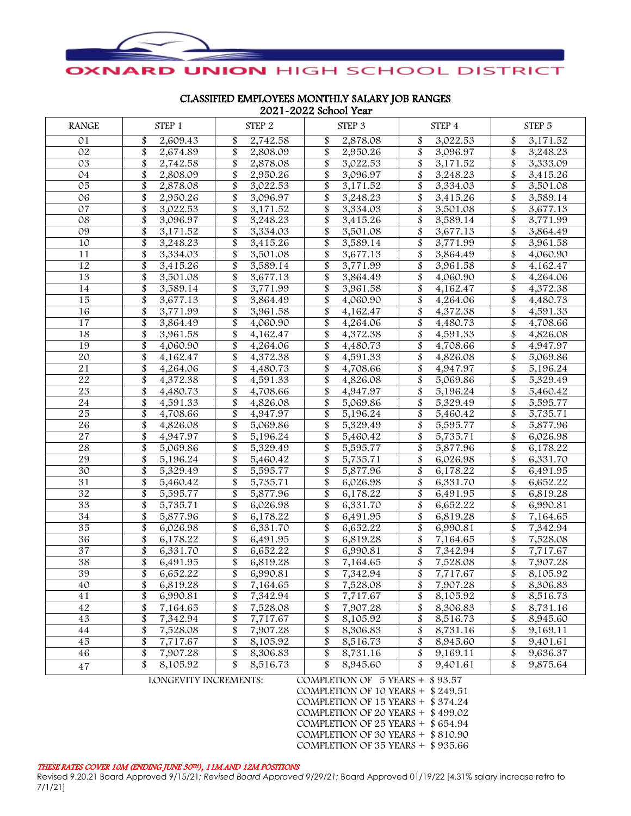

CLASSIFIED EMPLOYEES MONTHLY SALARY JOB RANGES 2021-2022 School Year

| <b>RANGE</b>    | STEP <sub>1</sub>            | STEP 2         | $2021$ $2022$ $001001$ $1001$<br>STEP 3 | STEP 4         | STEP 5         |
|-----------------|------------------------------|----------------|-----------------------------------------|----------------|----------------|
| 01              | 2,609.43                     | 2,742.58       | \$                                      | 3,022.53       | 3,171.52       |
|                 | \$                           | \$             | 2,878.08                                | \$             | \$             |
| 02              | \$                           | \$             | \$                                      | \$             | \$             |
|                 | 2,674.89                     | 2,808.09       | 2,950.26                                | 3,096.97       | 3,248.23       |
| 03              | \$<br>2,742.58               | \$<br>2,878.08 | \$<br>3,022.53                          | 3,171.52       | \$<br>3,333.09 |
| 04              | 2,808.09                     | 2,950.26       | \$<br>3,096.97                          | 3,248.23       | \$<br>3,415.26 |
| $\overline{05}$ | \$                           | \$             | \$                                      | \$             | \$             |
|                 | 2,878.08                     | 3,022.53       | 3,171.52                                | 3,334.03       | 3,501.08       |
| 06              | \$                           | \$             | \$                                      | \$             | \$             |
|                 | 2,950.26                     | 3,096.97       | 3,248.23                                | 3,415.26       | 3,589.14       |
| 07              | \$                           | \$             | \$                                      | \$             | \$             |
|                 | 3,022.53                     | 3,171.52       | 3,334.03                                | 3,501.08       | 3,677.13       |
| 08              | \$                           | \$             | \$                                      | \$             | \$             |
|                 | 3,096.97                     | 3,248.23       | 3,415.26                                | 3,589.14       | 3,771.99       |
| 09              | \$                           | \$             | \$                                      | \$             | \$             |
|                 | 3,171.52                     | 3,334.03       | 3,501.08                                | 3,677.13       | 3,864.49       |
| 10              | \$                           | \$             | \$                                      | \$             | \$             |
|                 | 3,248.23                     | 3,415.26       | 3,589.14                                | 3,771.99       | 3,961.58       |
| 11              | \$<br>3,334.03               | 3,501.08       | \$<br>3,677.13                          | \$<br>3,864.49 | \$<br>4,060.90 |
| $\overline{12}$ | \$                           | \$             | \$                                      | \$             | \$             |
|                 | 3,415.26                     | 3,589.14       | 3,771.99                                | 3,961.58       | 4,162.47       |
| 13              | \$                           | \$             | \$                                      | \$             | \$             |
|                 | 3,501.08                     | 3,677.13       | 3,864.49                                | 4,060.90       | 4,264.06       |
| 14              | \$                           | \$             | \$                                      | \$             | \$             |
|                 | 3,589.14                     | 3,771.99       | 3,961.58                                | 4,162.47       | 4,372.38       |
| 15              | \$                           | \$             | \$                                      | \$             | \$             |
|                 | 3,677.13                     | 3,864.49       | 4,060.90                                | 4,264.06       | 4,480.73       |
| 16              | \$                           | \$             | \$                                      | \$             | \$             |
|                 | 3,771.99                     | 3,961.58       | 4,162.47                                | 4,372.38       | 4,591.33       |
| $\overline{17}$ | 3,864.49                     | \$<br>4,060.90 | \$<br>4,264.06                          | 4,480.73       | \$<br>4,708.66 |
| 18              | \$                           | \$             | \$                                      | \$             | \$             |
|                 | 3,961.58                     | 4,162.47       | 4,372.38                                | 4,591.33       | 4,826.08       |
| 19              | \$                           | \$             | \$                                      | \$             | \$             |
|                 | 4,060.90                     | 4,264.06       | 4,480.73                                | 4,708.66       | 4,947.97       |
| 20              | \$                           | \$             | \$                                      | \$             | \$             |
|                 | 4,162.47                     | 4,372.38       | 4,591.33                                | 4,826.08       | 5,069.86       |
| 21              | \$                           | \$             | \$                                      | \$             | \$             |
|                 | 4,264.06                     | 4,480.73       | 4,708.66                                | 4,947.97       | 5,196.24       |
| 22              | 4,372.38                     | \$<br>4,591.33 | \$<br>4,826.08                          | 5,069.86       | \$<br>5,329.49 |
| $\overline{23}$ | \$<br>4,480.73               | \$<br>4,708.66 | \$<br>4,947.97                          | 5,196.24       | \$<br>5,460.42 |
| 24              | \$                           | \$             | \$                                      | \$             | \$             |
|                 | 4,591.33                     | 4,826.08       | 5,069.86                                | 5,329.49       | 5,595.77       |
| 25              | \$                           | \$             | \$                                      | \$             | \$             |
|                 | 4,708.66                     | 4,947.97       | 5,196.24                                | 5,460.42       | 5,735.71       |
| $\overline{26}$ | \$                           | \$             | \$                                      | \$             | \$             |
|                 | 4,826.08                     | 5,069.86       | 5,329.49                                | 5,595.77       | 5,877.96       |
| 27              | \$                           | \$             | \$                                      | \$             | \$             |
|                 | 4,947.97                     | 5,196.24       | 5,460.42                                | 5,735.71       | 6,026.98       |
| $\overline{28}$ | \$                           | \$             | \$                                      | \$             | \$             |
|                 | 5,069.86                     | 5,329.49       | 5,595.77                                | 5,877.96       | 6,178.22       |
| 29              | \$                           | \$             | \$                                      | \$             | \$             |
|                 | 5,196.24                     | 5,460.42       | 5,735.71                                | 6,026.98       | 6,331.70       |
| $\overline{30}$ | \$<br>5,329.49               | 5,595.77       | \$<br>5,877.96                          | 6,178.22       | \$<br>6,491.95 |
| 31              | \$                           | \$             | \$                                      | \$             | \$             |
|                 | 5,460.42                     | 5,735.71       | 6,026.98                                | 6,331.70       | 6,652.22       |
| $\overline{32}$ | \$                           | \$             | \$                                      | \$             | \$             |
|                 | 5,595.77                     | 5,877.96       | 6,178.22                                | 6,491.95       | 6,819.28       |
| 33              | \$                           | \$             | \$                                      | \$             | \$             |
|                 | 5,735.71                     | 6,026.98       | 6,331.70                                | 6,652.22       | 6,990.81       |
| $\overline{34}$ | \$                           | 6,178.22       | \$                                      | \$             | \$             |
|                 | 5,877.96                     | \$             | 6,491.95                                | 6,819.28       | 7,164.65       |
| 35              | \$                           | \$             | \$                                      | \$             | \$             |
|                 | 6,026.98                     | 6,331.70       | 6,652.22                                | 6,990.81       | 7,342.94       |
| 36              | \$                           | \$             | \$                                      | \$             | \$             |
|                 | 6,178.22                     | 6,491.95       | 6,819.28                                | 7,164.65       | 7,528.08       |
| $\overline{37}$ | \$                           | \$             | \$                                      | \$             | \$             |
|                 | 6,331.70                     | 6,652.22       | 6,990.81                                | 7,342.94       | 7,717.67       |
| 38              | $\overline{\$}$              | \$             | \$                                      | \$             | \$             |
|                 | 6,491.95                     | 6,819.28       | 7,164.65                                | 7,528.08       | 7,907.28       |
| 39              | \$                           | \$             | \$                                      | \$             | \$             |
|                 | 6,652.22                     | 6.990.81       | 7,342.94                                | 7.717.67       | 8,105.92       |
| 40              | \$                           | \$             | \$                                      | \$             | \$             |
|                 | 6,819.28                     | 7,164.65       | 7,528.08                                | 7,907.28       | 8,306.83       |
| 41              | \$                           | \$             | \$                                      | \$             | \$             |
|                 | 6,990.81                     | 7,342.94       | 7,717.67                                | 8,105.92       | 8,516.73       |
| 42              | \$                           | \$             | \$                                      | \$             | \$             |
|                 | 7,164.65                     | 7,528.08       | 7,907.28                                | 8,306.83       | 8,731.16       |
| 43              | \$                           | \$             | \$                                      | \$             | \$             |
|                 | 7,342.94                     | 7,717.67       | 8,105.92                                | 8,516.73       | 8,945.60       |
| 44              | \$                           | \$             | \$                                      | \$             | \$             |
|                 | 7,528.08                     | 7,907.28       | 8,306.83                                | 8,731.16       | 9,169.11       |
| 45              | \$                           | \$             | \$                                      | \$             | \$             |
|                 | 7,717.67                     | 8,105.92       | 8,516.73                                | 8,945.60       | 9,401.61       |
| 46              | \$                           | 8,306.83       | \$                                      | \$             | \$             |
|                 | 7,907.28                     | \$             | 8,731.16                                | 9,169.11       | 9,636.37       |
| 47              | \$                           | \$             | \$                                      | \$             | \$             |
|                 | 8,105.92                     | 8,516.73       | 8,945.60                                | 9,401.61       | 9,875.64       |
|                 | <b>LONGEVITY INCREMENTS:</b> |                | COMPLETION OF $5$ YEARS + \$93.57       |                |                |

COMPLETION OF 10 YEARS + \$ 249.51 COMPLETION OF 15 YEARS + \$ 374.24 COMPLETION OF 20 YEARS + \$ 499.02 COMPLETION OF 25 YEARS + \$ 654.94 COMPLETION OF 30 YEARS + \$ 810.90 COMPLETION OF 35 YEARS + \$ 935.66

## THESE RATES COVER 10M (ENDING JUNE 30TH), 11M AND 12M POSITIONS

Revised 9.20.21 Board Approved 9/15/21*; Revised Board Approved 9/29/21;* Board Approved 01/19/22 [4.31% salary increase retro to 7/1/21]